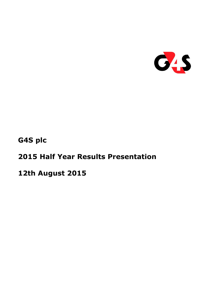

**G4S plc**

# **2015 Half Year Results Presentation**

**12th August 2015**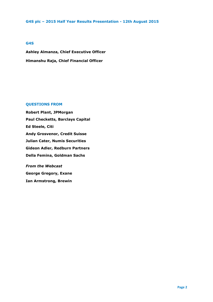#### **G4S**

**Ashley Almanza, Chief Executive Officer Himanshu Raja, Chief Financial Officer** 

#### **QUESTIONS FROM**

**Robert Plant, JPMorgan Paul Checketts, Barclays Capital Ed Steele, Citi Andy Grosvenor, Credit Suisse Julian Cater, Numis Securities Gideon Adler, Redburn Partners Della Femina, Goldman Sachs**

*From the Webcast* **George Gregory, Exane Ian Armstrong, Brewin**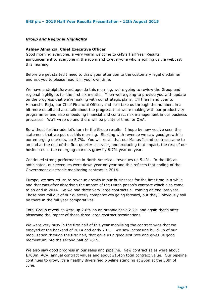#### *Group and Regional Highlights*

#### **Ashley Almanza, Chief Executive Officer**

Good morning everyone, a very warm welcome to G4S's Half Year Results announcement to everyone in the room and to everyone who is joining us via webcast this morning.

Before we get started I need to draw your attention to the customary legal disclaimer and ask you to please read it in your own time.

We have a straightforward agenda this morning, we're going to review the Group and regional highlights for the first six months. Then we're going to provide you with update on the progress that we're making with our strategic plans. I'll then hand over to Himanshu Raja, our Chief Financial Officer, and he'll take us through the numbers in a bit more detail and also talk about the progress that we're making with our productivity programmes and also embedding financial and contract risk management in our business processes. We'll wrap up and there will be plenty of time for Q&A.

So without further ado let's turn to the Group results. I hope by now you've seen the statement that we put out this morning. Starting with revenue we saw good growth in our emerging markets, up 5.7%. You will recall that our Manus Island contract came to an end at the end of the first quarter last year, and excluding that impact, the rest of our businesses in the emerging markets grow by 8.7% year on year.

Continued strong performance in North America - revenues up 5.4%. In the UK, as anticipated, our revenues were down year on year and this reflects that ending of the Government electronic monitoring contract in 2014.

Europe, we saw return to revenue growth in our businesses for the first time in a while and that was after absorbing the impact of the Dutch prison's contract which also came to an end in 2014. So we had three very large contracts all coming an end last year. Those now roll out of our quarterly comparatives going forward, but they'll obviously still be there in the full year comparatives.

Total Group revenues were up 2.8% on an organic basis 2.2% and again that's after absorbing the impact of those three large contract terminations.

We were very busy in the first half of this year mobilising the contract wins that we enjoyed at the backend of 2014 and early 2015. We saw increasing build-up of our mobilisation through the first half, that gave us a good exit rate and gives us good momentum into the second half of 2015.

We also saw good progress in our sales and pipeline. New contract sales were about £700m, ACV, annual contract values and about  $£1.4$ bn total contract value. Our pipeline continues to grow, it's a healthy diversified pipeline standing at £6bn at the 30th of June.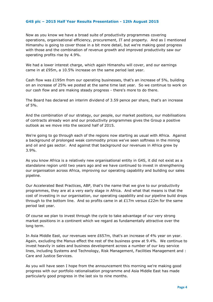Now as you know we have a broad suite of productivity programmes covering operations, organisational efficiency, procurement, IT and property. And as I mentioned Himanshu is going to cover those in a bit more detail, but we're making good progress with those and the combination of revenue growth and improved productivity saw our operating profits rise by 4.9%.

We had a lower interest charge, which again Himanshu will cover, and our earnings came in at £95m, a 10.5% increase on the same period last year.

Cash flow was £195m from our operating businesses, that's an increase of 5%, building on an increase of 25% we posted at the same time last year. So we continue to work on our cash flow and are making steady progress - there's more to do there.

The Board has declared an interim dividend of 3.59 pence per share, that's an increase of 5%.

And the combination of our strategy, our people, our market positions, our mobilisations of contracts already won and our productivity programmes gives the Group a positive outlook as we move into the second half of 2015.

We're going to go through each of the regions now starting as usual with Africa. Against a background of prolonged weak commodity prices we've seen softness in the mining and oil and gas sector. And against that background our revenues in Africa grew by 3.9%.

As you know Africa is a relatively new organisational entity in G4S, it did not exist as a standalone region until two years ago and we have continued to invest in strengthening our organisation across Africa, improving our operating capability and building our sales pipeline.

Our Accelerated Best Practices, ABP, that's the name that we give to our productivity programmes, they are at a very early stage in Africa. And what that means is that the cost of investing in our organisation, our operating capability and our pipeline build drops through to the bottom line. And so profits came in at  $£17m$  versus  $£22m$  for the same period last year.

Of course we plan to invest through the cycle to take advantage of our very strong market positions in a continent which we regard as fundamentally attractive over the long term.

In Asia Middle East, our revenues were £657m, that's an increase of 4% year on year. Again, excluding the Manus effect the rest of the business grew at 9.4%. We continue to invest heavily in sales and business development across a number of our key service lines, including Systems and Technology, Risk Management, Facilities Management and : Care and Justice Services.

As you will have seen I hope from the announcement this morning we're making good progress with our portfolio rationalisation programme and Asia Middle East has made particularly good progress in the last six to nine months.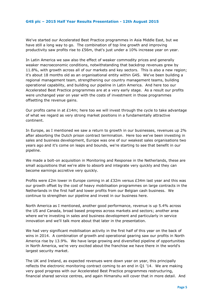We've started our Accelerated Best Practice programmes in Asia Middle East, but we have still a long way to go. The combination of top line growth and improving productivity saw profits rise to £56m, that's just under a 10% increase year on year.

In Latin America we saw also the effect of weaker commodity prices and generally weaker macroeconomic conditions, notwithstanding that backdrop revenues grew by 11.8%, with growth across all of our markets and key sectors. This is also a new region; it's about 18 months old as an organisational entity within G4S. We've been building a regional management team, strengthening our country management teams, building operational capability, and building our pipeline in Latin America. And here too our Accelerated Best Practice programmes are at a very early stage. As a result our profits were unchanged year on year with the costs of investment in those programmes offsetting the revenue gains.

Our profits came in at  $E14m$ ; here too we will invest through the cycle to take advantage of what we regard as very strong market positions in a fundamentally attractive continent.

In Europe, as I mentioned we saw a return to growth in our businesses, revenues up 2% after absorbing the Dutch prison contract termination. Here too we've been investing in sales and business development, Europe was one of our weakest sales organisations two years ago and it's come on leaps and bounds, we're starting to see that benefit in our pipeline.

We made a bolt-on acquisition in Monitoring and Response in the Netherlands, these are small acquisitions that we're able to absorb and integrate very quickly and they can become earnings accretive very quickly.

Profits were £2m lower in Europe coming in at £32m versus £34m last year and this was our growth offset by the cost of heavy mobilisation programmes on large contracts in the Netherlands in the first half and lower profits from our Belgian cash business. We continue to strengthen our pipeline and invest in our business here.

North America as I mentioned, another good performance, revenue is up 5.4% across the US and Canada, broad based progress across markets and sectors; another area where we're investing in sales and business development and particularly in service innovation and we'll talk more about that later in the presentation.

We had very significant mobilisation activity in the first half of this year on the back of wins in 2014. A combination of growth and operational gearing saw our profits in North America rise by 13.9%. We have large growing and diversified pipeline of opportunities in North America, we're very excited about the franchise we have there in the world's largest security market.

The UK and Ireland, as expected revenues were down year on year, this principally reflects the electronic monitoring contract coming to an end in Q1 '14. We are making very good progress with our Accelerated Best Practice programmes restructuring, financial shared service centres, and again Himanshu will cover that in more detail. And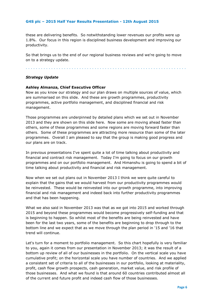these are delivering benefits. So notwithstanding lower revenues our profits were up 1.8%. Our focus in this region is disciplined business development and improving our productivity.

So that brings us to the end of our regional business reviews and we're going to move on to a strategy update.

. . . . . . . . . . . . . . . . . . . . . . . . . . . . . . . . . . . . . . . . . . . . . . . . . . . . . . . . . . . . . . .

#### *Strategy Update*

#### **Ashley Almanza, Chief Executive Officer**

Now as you know our strategy and our plan draws on multiple sources of value, which are summarised on this slide. And these are growth programmes, productivity programmes, active portfolio management, and disciplined financial and risk management.

Those programmes are underpinned by detailed plans which we set out in November 2013 and they are shown on this slide here. Now some are moving ahead faster than others, some of these programmes and some regions are moving forward faster than others. Some of these programmes are attracting more resource than some of the later programmes. Overall I am pleased to say that the group is making good progress and our plans are on track.

In previous presentations I've spent quite a lot of time talking about productivity and financial and contract risk management. Today I'm going to focus on our growth programmes and on our portfolio management. And Himanshu is going to spend a bit of time talking about productivity and financial and risk management.

Now when we set out plans out in November 2013 I think we were quite careful to explain that the gains that we would harvest from our productivity programmes would be reinvested. These would be reinvested into our growth programme, into improving financial and risk management and indeed back into further productivity programmes and that has been happening.

What we also said in November 2013 was that as we got into 2015 and worked through 2015 and beyond these programmes would become progressively self-funding and that is beginning to happen. So whilst most of the benefits are being reinvested and have been for the last two years, some of the benefits are beginning to drop through to the bottom line and we expect that as we move through the plan period in '15 and '16 that trend will continue.

Let's turn for a moment to portfolio management. So this chart hopefully is very familiar to you, again it comes from our presentation in November 2013; it was the result of a bottom up review of all of our businesses in the portfolio. On the vertical scale you have cumulative profit; on the horizontal scale you have number of countries. And we applied a consistent set of criteria to all of the businesses in our portfolio, looking at materiality, profit, cash flow growth prospects, cash generation, market value, and risk profile of those businesses. And what we found is that around 60 countries contributed almost all of the current and future profit and indeed cash flow of those businesses.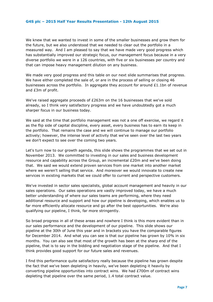We knew that we wanted to invest in some of the smaller businesses and grow them for the future, but we also understood that we needed to clear out the portfolio in a measured way. And I am pleased to say that we have made very good progress which has substantially improved our strategic focus, our management focus because in a very diverse portfolio we were in a 126 countries, with five or six businesses per country and that can impose heavy management dilution on any business.

We made very good progress and this table on our next slide summarises that progress. We have either completed the sale of, or are in the process of selling or closing 46 businesses across the portfolio. In aggregate they account for around  $\text{\pounds}1.1$ bn of revenue and £3m of profit.

We've raised aggregate proceeds of £263m on the 16 businesses that we've sold already, so I think very satisfactory progress and we have undoubtedly got a much sharper focus in our business today.

We said at the time that portfolio management was not a one off exercise, we regard it as the flip side of capital discipline, every asset, every business has to earn its keep in the portfolio. That remains the case and we will continue to manage our portfolio actively; however, the intense level of activity that we've seen over the last two years we don't expect to see over the coming two years.

Let's turn now to our growth agenda, this slide shows the programmes that we set out in November 2013. We committed to investing in our sales and business development resource and capability across the Group, an incremental £20m and we've been doing that. We said we would extend proven services from one market into another market where we weren't selling that service. And moreover we would innovate to create new services in existing markets that we could offer to current and perspective customers.

We've invested in sector sales specialists, global account management and heavily in our sales operations. Our sales operations are vastly improved today, we have a much better understanding of where our sales teams are performing, where they need additional resource and support and how our pipeline is developing, which enables us to far more efficiently allocate resource and go after the best opportunities. We're also qualifying our pipeline, I think, far more stringently.

So broad progress in all of these areas and nowhere I think is this more evident than in our sales performance and the development of our pipeline. This slide shows our pipeline at the 30th of June this year and in brackets you have the comparable figures for December 2014. And what you can see is that our pipeline has grown by 10% in six months. You can also see that most of the growth has been at the sharp end of the pipeline, that is to say in the bidding and negotiation stage of the pipeline. And that I think provides good support for our future sales and revenues.

I find this performance quite satisfactory really because the pipeline has grown despite the fact that we've been depleting in heavily, we've been depleting it heavily by converting pipeline opportunities into contract wins. We had  $E700m$  of contract wins depleting that pipeline over the same period, 1.4 total contract value.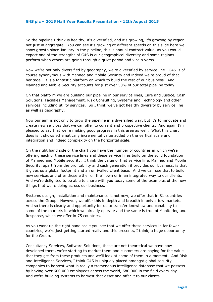So the pipeline I think is healthy, it's diversified, and it's growing, it's growing by region not just in aggregate. You can see it's growing at different speeds on this slide here we show growth since January in the pipeline, this is annual contract value, as you would expect one of the strengths of G4S is our geographical diversity and some regions perform when others are going through a quiet period and vice a versa.

Now we're not only diversified by geography, we're diversified by service line. G4S is of course synonymous with Manned and Mobile Security and indeed we're proud of that heritage. It is a fantastic platform on which to build the rest of our business. And Manned and Mobile Security accounts for just over 50% of our total pipeline today.

On that platform we are building our pipeline in our service lines, Care and Justice, Cash Solutions, Facilities Management, Risk Consulting, Systems and Technology and other services including utility services. So I think we've got healthy diversity by service line as well as geography.

Now our aim is not only to grow the pipeline in a diversified way, but it's to innovate and create new services that we can offer to current and prospective clients. And again I'm pleased to say that we're making good progress in this area as well. What this chart does is it shows schematically incremental value added on the vertical scale and integration and indeed complexity on the horizontal scale.

On the right hand side of the chart you have the number of countries in which we're offering each of these service lines and these service lines build on the solid foundation of Manned and Mobile security. I think the value of that service line, Manned and Mobile Security, apart from the profitability and cash generation it provides our business, is that it gives us a global footprint and an unrivalled client base. And we can use that to build new services and offer those either on their own or in an integrated way to our clients. And we're delighted to be able to share with you today some of the examples of the new things that we're doing across our business.

Systems design, installation and maintenance is not new, we offer that in 81 countries across the Group. However, we offer this in depth and breadth in only a few markets. And so there is clearly and opportunity for us to transfer knowhow and capability to some of the markets in which we already operate and the same is true of Monitoring and Response, which we offer in 75 countries.

As you work up the right hand scale you see that we offer these services in far fewer countries, we're just getting started really and this presents, I think, a huge opportunity for the Group.

Consultancy Services, Software Solutions, these are not theoretical we have now developed them, we're starting to market them and customers are paying for the value that they get from these products and we'll look at some of them in a moment. And Risk and Intelligence Services, I think G4S is uniquely placed amongst global security companies to harvest what is really a tremendous intelligence database that we possess by having over 600,000 employees across the world, 580,000 in the field every day. And we're building systems to harvest that asset and offer it to our clients.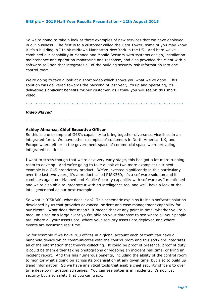So we're going to take a look at three examples of new services that we have deployed in our business. The first is to a customer called the Gem Tower, some of you may know it it's a building in I think midtown Manhattan New York in the US. And here we've combined our capability in Manned and Mobile Security with systems design, installation maintenance and operation monitoring and response, and also provided the client with a software solution that integrates all of the building security risk information into one control room.

We're going to take a look at a short video which shows you what we've done. This solution was delivered towards the backend of last year, it's up and operating, it's delivering significant benefits for our customer, as I think you will see on this short video.

. . . . . . . . . . . . . . . . . . . . . . . . . . . . . . . . . . . . . . . . . . . . . . . . . . . . . . . . . . . . . . .

#### *Video Played*

#### **Ashley Almanza, Chief Executive Officer**

So this is one example of G4S's capability to bring together diverse service lines in an integrated form. We have other examples of customers in North America, UK, and Europe where either in the government space of commercial space we're providing integrated solutions.

. . . . . . . . . . . . . . . . . . . . . . . . . . . . . . . . . . . . . . . . . . . . . . . . . . . . . . . . . . . . . . .

I want to stress though that we're at a very early stage, this has got a lot more running room to develop. And we're going to take a look at two more examples; our next example is a G4S proprietary product. We've invested significantly in this particularly over the last two years, it's a product called RISK360, it's a software solution and it combines again our Manned and Mobile Security capability with software as I mentioned and we're also able to integrate it with an intelligence tool and we'll have a look at the intelligence tool as our next example

So what is RISK360, what does it do? This schematic explains it; it's a software solution developed by us that provides advanced incident and case management capability for our clients. What does that mean? It means that at any point in time, whether you're a medium sized or a large client you're able on your database to see where all your people are, where all your assets are, where your security assets are deployed and where events are occurring real time.

So for example if we have 200 offices in a global account each of them can have a handheld device which communicates with the control room and this software integrates all of the information that they're collecting. It could be proof of presence, proof of duty, it could be them either taking photographs or videoing an incident real time, or filing an incident report. And this has numerous benefits, including the ability of the control room to monitor what's going on across its organisation at any given time, but also to build up trend information. So we have analytical tools that enable chief security officers to over time develop mitigation strategies. You can see patterns in incidents; it's not just security but also safety that you can track.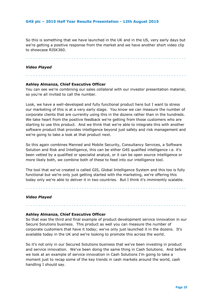So this is something that we have launched in the UK and in the US, very early days but we're getting a positive response from the market and we have another short video clip to showcase RISK360.

. . . . . . . . . . . . . . . . . . . . . . . . . . . . . . . . . . . . . . . . . . . . . . . . . . . . . . . . . . . . . . .

#### *Video Played*

# **Ashley Almanza, Chief Executive Officer**

You can see we're combining our sales collateral with our investor presentation material, so you're all invited to call the number.

. . . . . . . . . . . . . . . . . . . . . . . . . . . . . . . . . . . . . . . . . . . . . . . . . . . . . . . . . . . . . . .

Look, we have a well-developed and fully functional product here but I want to stress our marketing of this is at a very early stage. You know we can measure the number of corporate clients that are currently using this in the dozens rather than in the hundreds. We take heart from the positive feedback we're getting from those customers who are starting to use this product. And we think that we're able to integrate this with another software product that provides intelligence beyond just safety and risk management and we're going to take a look at that product next.

So this again combines Manned and Mobile Security, Consultancy Services, a Software Solution and Risk and Intelligence, this can be either G4S qualified intelligence i.e. it's been vetted by a qualified or specialist analyst, or it can be open source intelligence or more likely both, we combine both of these to feed into our intelligence tool.

The tool that we've created is called GIS, Global Intelligence System and this too is fully functional but we're only just getting started with the marketing, we're offering this today only we're able to deliver it in two countries. But I think it's imminently scalable.

. . . . . . . . . . . . . . . . . . . . . . . . . . . . . . . . . . . . . . . . . . . . . . . . . . . . . . . . . . . . . . .

. . . . . . . . . . . . . . . . . . . . . . . . . . . . . . . . . . . . . . . . . . . . . . . . . . . . . . . . . . . . . . .

*Video Played*

#### **Ashley Almanza, Chief Executive Officer**

So that was the third and final example of product development service innovation in our Secure Solutions business. This product as well you can measure the number of corporate customers that have it today; we've only just launched it in the dozens. It's available today in the UK and we're looking to promote this across the world.

So it's not only in our Secured Solutions business that we've been investing in product and service innovation. We've been doing the same thing in Cash Solutions. And before we look at an example of service innovation in Cash Solutions I'm going to take a moment just to recap some of the key trends in cash markets around the world, cash handling I should say.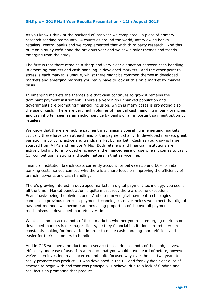As you know I think at the backend of last year we completed - a piece of primary research sending teams into 14 countries around the world, interviewing banks, retailers, central banks and we complemented that with third party research. And this built on a study we'd done the previous year and we saw similar themes and trends emerging from the study.

The first is that there remains a sharp and very clear distinction between cash handling in emerging markets and cash handling in developed markets. And the other point to stress is each market is unique, whilst there might be common themes in developed markets and emerging markets you really have to look at this on a market by market basis.

In emerging markets the themes are that cash continues to grow it remains the dominant payment instrument. There's a very high unbanked population and governments are promoting financial inclusion, which is many cases is promoting also the use of cash. There are very high volumes of manual cash handling in bank branches and cash if often seen as an anchor service by banks or an important payment option by retailers.

We know that there are mobile payment mechanisms operating in emerging markets, typically these have cash at each end of the payment chain. In developed markets great variation in policy, practice and trends market by market. Cash as you know is large sourced from ATMs and remote ATMs. Both retailers and financial institutions are actively looking for improved efficiency and enhanced ease of use when it comes to cash. CIT competition is strong and scale matters in that service line.

Financial institution branch costs currently account for between 50 and 60% of retail banking costs, so you can see why there is a sharp focus on improving the efficiency of branch networks and cash handling.

There's growing interest in developed markets in digital payment technology, you see it all the time. Market penetration is quite measured; there are some exceptions, Scandinavia being the obvious one. And often new digital payment technologies cannibalise previous non-cash payment technologies, nevertheless we expect that digital payment methods will become an increasing proportion of the overall payment mechanisms in developed markets over time.

What is common across both of these markets, whether you're in emerging markets or developed markets is our major clients, be they financial institutions are retailers are constantly looking for innovation in order to make cash handling more efficient and easier for their customers to handle.

And in G4S we have a product and a service that addresses both of those objectives, efficiency and ease of use. It's a product that you would have heard of before, however we've been investing in a concerted and quite focused way over the last two years to really promote this product. It was developed in the UK and frankly didn't get a lot of traction to begin with and that was principally, I believe, due to a lack of funding and real focus on promoting that product.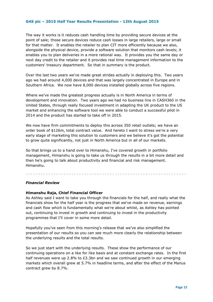The way it works is it reduces cash handling time by providing secure devices at the point of sale; those secure devices reduce cash losses in large retailers, large or small for that matter. It enables the retailer to plan CIT more efficiently because we also, alongside the physical device, provide a software solution that monitors cash levels; it enables you to plan deliveries in a more rational way. It provides you the same day or next day credit to the retailer and it provides real time management information to the customers' treasury department. So that in summary is the product.

Over the last two years we've made great strides actually in deploying this. Two years ago we had around 4,000 devices and that was largely concentrated in Europe and in Southern Africa. We now have 8,000 devices installed globally across five regions.

Where we've made the greatest progress actually is in North America in terms of development and innovation. Two years ago we had no business line in CASH360 in the United States, through really focused investment in adapting the UK product to the US market and enhancing the software tool we were able to conduct a successful pilot in 2014 and the product has started to take off in 2015.

We now have firm commitments to deploy this across 350 retail outlets; we have an order book of \$126m, total contract value. And hereto I want to stress we're a very early stage of marketing this solution to customers and we believe it's got the potential to grow quite significantly, not just in North America but in all of our markets.

So that brings us to a hand over to Himanshu, I've covered growth in portfolio management, Himanshu is going to take us through the results in a bit more detail and then he's going to talk about productivity and financial and risk management. Himanshu.

#### . . . . . . . . . . . . . . . . . . . . . . . . . . . . . . . . . . . . . . . . . . . . . . . . . . . . . . . . . . . . . . .

#### *Financial Review*

#### **Himanshu Raja, Chief Financial Officer**

As Ashley said I want to take you through the financials for the half, and really what the financials show for the half year is the progress that we've made on revenue, earnings and cash flow which is fundamentally what we're about whilst, as Ashley has pointed out, continuing to invest in growth and continuing to invest in the productivity programmes that I'll cover in some more detail.

Hopefully you've seen from this morning's release that we've also simplified the presentation of our results so you can see much more clearly the relationship between the underlying results and the total results.

So we just start with the underlying results. These show the performance of our continuing operations on a like for like basis and at constant exchange rates. In the first half revenues were up 2.8% to £3.3bn and we saw continued growth in our emerging markets which overall grew at 5.7% in headline terms, and after the effect of the Manus contract grew by 8.7%.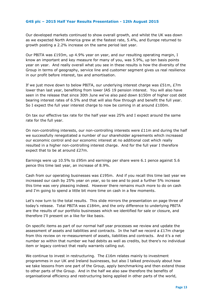Our developed markets continued to show overall growth, and whilst the UK was down as we expected North America grew at the fastest rate, 5.4%, and Europe returned to growth posting a 2.2% increase on the same period last year.

Our PBITA was £193m, up 4.9% year on year, and our resulting operating margin, I know an important and key measure for many of you, was 5.9%, up ten basis points year on year. And really overall what you see in these results is how the diversity of the Group in terms of geography, service line and customer segment gives us real resilience in our profit before interest, tax and amortisation.

If we just move down to below PBITA, our underlying interest charge was £51m, £7m lower than last year, benefiting from lower IAS 19 pension interest. You will also have seen in the release that since 30th June we've also paid down \$150m of higher cost debt bearing interest rates of 6.5% and that will also flow through and benefit the full year. So I expect the full year interest charge to now be coming in at around £100m.

On tax our effective tax rate for the half year was 25% and I expect around the same rate for the full year.

On non-controlling interests, our non-controlling interests were £11m and during the half we successfully renegotiated a number of our shareholder agreements which increased our economic control and our economic interest at no additional cost which really resulted in a higher non-controlling interest charge. And for the full year I therefore expect that to be at around £27m.

Earnings were up 10.5% to £95m and earnings per share were 6.1 pence against 5.6 pence this time last year, an increase of 8.9%.

Cash from our operating businesses was £195m. And if you recall this time last year we increased our cash by 25% year on year, so to see and to post a further 5% increase this time was very pleasing indeed. However there remains much more to do on cash and I'm going to spend a little bit more time on cash in a few moments.

Let's now turn to the total results. This slide mirrors the presentation on page three of today's release. Total PBITA was £184m, and the only difference to underlying PBITA are the results of our portfolio businesses which we identified for sale or closure, and therefore I'll present on a like for like basis.

On specific items as part of our normal half year processes we review and update the assessment of assets and liabilities and contracts. In the half we record a  $£17m$  charge from this review on re-measurement of assets, liabilities and contracts. And it's a net number so within that number we had debits as well as credits, but there's no individual item or legacy contract that really warrants calling out.

We continue to invest in restructuring. The  $£16m$  relates mainly to investment programmes in our UK and Ireland businesses, but also I talked previously about how we take lessons from one part of the Group, apply benchmarking and then extend those to other parts of the Group. And in the half we also saw therefore the benefits of organisational efficiency and restructuring being applied in other parts of the world,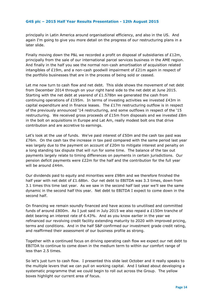principally in Latin America around organisational efficiency, and also in the US. And again I'm going to give you more detail on the progress of our restructuring plans in a later slide.

Finally moving down the P&L we recorded a profit on disposal of subsidiaries of  $£12m$ , principally from the sale of our international parcel services business in the AME region. And finally in the half you see the normal non-cash amortisation of acquisition related intangibles of £19m, and a non-cash goodwill impairment of £21m again in respect of the portfolio businesses that are in the process of being sold or ceased.

Let me now turn to cash flow and net debt. This slide shows the movement of net debt from December 2014 through on your right hand side to the net debt at June 2015. Starting with the net debt at yearend of £1.578bn we generated the cash from continuing operations of £195m. In terms of investing activities we invested £43m in capital expenditure and in finance leases. The  $£17m$  restructuring outflow is in respect of the previously announced '14 restructuring, and some outflows in respect of the '15 restructuring. We received gross proceeds of  $£15m$  from disposals and we invested  $£8m$ in the bolt on acquisitions in Europe and Lat Am, really modest bolt ons that drive contribution and are accretive to earnings.

Let's look at the use of funds. We've paid interest of £50m and the cash tax paid was  $£76m$ . On the cash tax the increase in tax paid compared with the same period last year was largely due to the payment on account of  $E20m$  to mitigate interest and penalty on a long standing tax dispute that will run for some time. The balance of the tax out payments largely relate to timing differences on payments in certain jurisdictions. Our pension deficit payments were £22m for the half and the contribution for the full year will be around £44m.

Our dividends paid to equity and minorities were £98m and we therefore finished the half year with net debt of £1.68bn. Our net debt to EBITDA was 3.3 times, down from 3.1 times this time last year. As we saw in the second half last year we'll see the same dynamic in the second half this year. Net debt to EBITDA I expect to come down in the second half.

On financing we remain soundly financed and have access to unutilised and committed funds of around  $E800m$ . As I just said in July 2015 we also repaid a £150m tranche of debt bearing an interest rate of 6.43%. And as you know earlier in the year we refinanced our revolving credit facility extending maturity to 2020 with improved pricing, terms and conditions. And in the half S&P confirmed our investment grade credit rating, and reaffirmed their assessment of our business profile as strong.

Together with a continued focus on driving operating cash flow we expect our net debt to EBITDA to continue to come down in the medium term to within our comfort range of less than 2.5 times.

So let's just turn to cash flow. I presented this slide last October and it really speaks to the multiple levers that we can pull on working capital. And I talked about developing a systematic programme that we could begin to roll out across the Group. The yellow boxes highlight our current area of focus.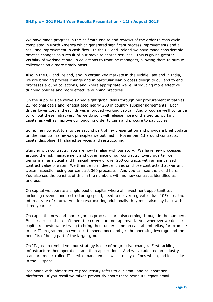We have made progress in the half with end to end reviews of the order to cash cycle completed in North America which generated significant process improvements and a resulting improvement in cash flow. In the UK and Ireland we have made considerable process changes as a result of our move to shared services. This is giving greater visibility of working capital in collections to frontline managers, allowing them to pursue collections on a more timely basis.

Also in the UK and Ireland, and in certain key markets in the Middle East and in India, we are bringing process change and in particular lean process design to our end to end processes around collections, and where appropriate we're introducing more effective dunning policies and more effective dunning practices.

On the supplier side we've signed eight global deals through our procurement initiatives, 23 regional deals and renegotiated nearly 200 in country supplier agreements. Each drives lower cost and each drives improved working capital. And of course we'll continue to roll out these initiatives. As we do so it will release more of the tied up working capital as well as improve our ongoing order to cash and procure to pay cycles.

So let me now just turn to the second part of my presentation and provide a brief update on the financial framework principles we outlined in November '13 around contracts, capital discipline, IT, shared services and restructuring.

Starting with contracts. You are now familiar with our story. We have new processes around the risk management and governance of our contracts. Every quarter we perform an analytical and financial review of over 200 contracts with an annualised contract value of £2bn. We then perform deeper dives on those contracts that warrant closer inspection using our contract 360 processes. And you can see the trend here. You also see the benefits of this in the numbers with no new contracts identified as onerous.

On capital we operate a single pool of capital where all investment opportunities, including revenue and restructuring spend, need to deliver a greater than 10% post tax internal rate of return. And for restructuring additionally they must also pay back within three years or less.

On capex the new and more rigorous processes are also coming through in the numbers. Business cases that don't meet the criteria are not approved. And wherever we do see capital requests we're trying to bring them under common capital umbrellas, for example in our IT programme, so we seek to spend once and get the operating leverage and the benefits of being part of the larger group.

On IT, just to remind you our strategy is one of progressive change. First tackling infrastructure then operations and then applications. And we've adopted an industry standard model called IT service management which really defines what good looks like in the IT space.

Beginning with infrastructure productivity refers to our email and collaboration platforms. If you recall we talked previously about there being 47 legacy email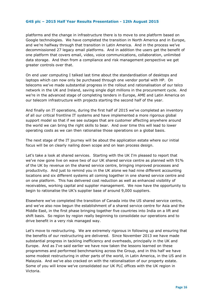platforms and the change in infrastructure there is to move to one platform based on Google technologies. We have completed the transition in North America and in Europe, and we're halfway through that transition in Latin America. And in the process we've decommissioned 27 legacy email platforms. And in addition the users get the benefit of one platform that covers email, video, voice communications, collaboration, unlimited data storage. And then from a compliance and risk management perspective we get greater controls over that.

On end user computing I talked last time about the standardisation of desktops and laptops which can now only be purchased through one vendor portal with HP. On telecoms we've made substantial progress in the rollout and rationalisation of our telco network in the UK and Ireland, saving single digit millions in the procurement cycle. And we're in the advanced stage of completing tenders in Europe, AME and Latin America on our telecom infrastructure with projects starting the second half of the year.

And finally on IT operations, during the first half of 2015 we've completed an inventory of all our critical frontline IT systems and have implemented a more rigorous global support model so that if we see outages that are customer affecting anywhere around the world we can bring the right skills to bear. And over time this will lead to lower operating costs as we can then rationalise those operations on a global basis.

The next stage of the IT journey will be about the application estate where our initial focus will be on clearly nailing down scope and on lean process design.

Let's take a look at shared services. Starting with the UK I'm pleased to report that we've now gone live on wave two of our UK shared service centre as planned with 91% of the UK by revenue on the shared service centre, bringing improved processes and productivity. And just to remind you in the UK alone we had nine different accounting locations and six different systems all coming together in one shared service centre and on one platform. This has delivered cost reduction as well as enhanced visibility of receivables, working capital and supplier management. We now have the opportunity to begin to rationalise the UK's supplier base of around 9,000 suppliers.

Elsewhere we've completed the transition of Canada into the US shared service centre, and we've also now begun the establishment of a shared service centre for Asia and the Middle East, in the first phase bringing together five countries into India on a lift and shift basis. So region by region really beginning to consolidate our operations and to drive benefit in a very risk managed way.

Let's move to restructuring. We are extremely rigorous in following up and ensuring that the benefits of our restructuring are delivered. Since November 2013 we have made substantial progress in tackling inefficiency and overheads, principally in the UK and Europe. And as I've said earlier we have now taken the lessons learned on these programmes and performed benchmarking across the Group, and in this half we have some modest restructuring in other parts of the world, in Latin America, in the US and in Malaysia. And we've also cracked on with the rationalisation of our property estate. Some of you will know we've consolidated our UK PLC offices with the UK region in Victoria.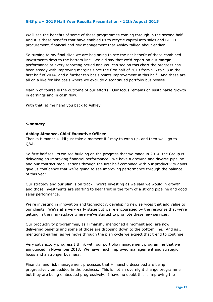We'll see the benefits of some of these programmes coming through in the second half. And it is these benefits that have enabled us to recycle capital into sales and BD, IT procurement, financial and risk management that Ashley talked about earlier.

So turning to my final slide we are beginning to see the net benefit of these combined investments drop to the bottom line. We did say that we'd report on our margin performance at every reporting period and you can see on this chart the progress has been steady with improving margins since the first half of 2013 from 5.6 to 5.8 in the first half of 2014, and a further ten basis points improvement in this half. And these are all on a like for like basis where we exclude discontinued portfolio businesses.

Margin of course is the outcome of our efforts. Our focus remains on sustainable growth in earnings and in cash flow.

With that let me hand you back to Ashley.

#### . . . . . . . . . . . . . . . . . . . . . . . . . . . . . . . . . . . . . . . . . . . . . . . . . . . . . . . . . . . . . . .

#### *Summary*

#### **Ashley Almanza, Chief Executive Officer**

Thanks Himanshu. I'll just take a moment if I may to wrap up, and then we'll go to  $O&A$ .

So first half results we see building on the progress that we made in 2014, the Group is delivering an improving financial performance. We have a growing and diverse pipeline and our contract mobilisations through the first half combined with our productivity gains give us confidence that we're going to see improving performance through the balance of this year.

Our strategy and our plan is on track. We're investing as we said we would in growth, and those investments are starting to bear fruit in the form of a strong pipeline and good sales performance.

We're investing in innovation and technology, developing new services that add value to our clients. We're at a very early stage but we're encouraged by the response that we're getting in the marketplace where we've started to promote these new services.

Our productivity programmes, as Himanshu mentioned a moment ago, are now delivering benefits and some of those are dropping down to the bottom line. And as I mentioned earlier, as we move through the plan cycle we expect that trend to continue.

Very satisfactory progress I think with our portfolio management programme that we announced in November 2013. We have much improved management and strategic focus and a stronger business.

Financial and risk management processes that Himanshu described are being progressively embedded in the business. This is not an overnight change programme but they are being embedded progressively. I have no doubt this is improving the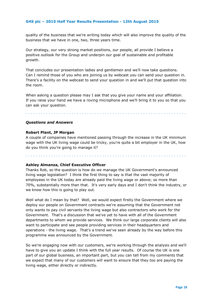quality of the business that we're writing today which will also improve the quality of the business that we have in one, two, three years time.

Our strategy, our very strong market positions, our people, all provide I believe a positive outlook for the Group and underpin our goal of sustainable and profitable growth.

That concludes our presentation ladies and gentlemen and we'll now take questions. Can I remind those of you who are joining us by webcast you can send your question in. There's a facility on the webcast to send your question in and we'll put that question into the room.

When asking a question please may I ask that you give your name and your affiliation. If you raise your hand we have a roving microphone and we'll bring it to you so that you can ask your question.

. . . . . . . . . . . . . . . . . . . . . . . . . . . . . . . . . . . . . . . . . . . . . . . . . . . . . . . . . . . . . . .

#### *Questions and Answers*

#### **Robert Plant, JP Morgan**

A couple of companies have mentioned passing through the increase in the UK minimum wage with the UK living wage could be tricky, you're quite a bit employer in the UK, how do you think you're going to manage it?

. . . . . . . . . . . . . . . . . . . . . . . . . . . . . . . . . . . . . . . . . . . . . . . . . . . . . . . . . . . . . . .

#### **Ashley Almanza, Chief Executive Officer**

Thanks Rob, so the question is how do we manage the UK Government's announced living wage legislation? I think the first thing to say is that the vast majority of employees in the UK today are already paid the living wage or above; so more than 70%, substantially more than that. It's very early days and I don't think the industry, or we know how this is going to play out.

Well what do I mean by that? Well, we would expect firstly the Government where we deploy our people on Government contracts we're assuming that the Government not only wants to pay civil servants the living wage but also contractors who work for the Government. That's a discussion that we've yet to have with all of the Government departments to whom we provide services. We think our large corporate clients will also want to participate and see people providing services in their headquarters and operations - the living wage. That's a trend we've seen already by the way before this programme was announced by the Government.

So we're engaging now with our customers, we're working through the analysis and we'll have to give you an update I think with the full year results. Of course the UK is one part of our global business, an important part, but you can tell from my comments that we expect that many of our customers will want to ensure that they too are paying the living wage, either directly or indirectly.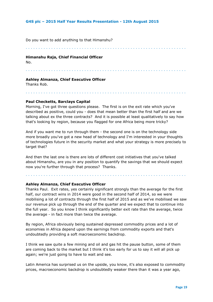Do you want to add anything to that Himanshu?

. . . . . . . . . . . . . . . . . . . . . . . . . . . . . . . . . . . . . . . . . . . . . . . . . . . . . . . . . . . . . . .

#### **Himanshu Raja, Chief Financial Officer**

No.

#### . . . . . . . . . . . . . . . . . . . . . . . . . . . . . . . . . . . . . . . . . . . . . . . . . . . . . . . . . . . . . . .

. . . . . . . . . . . . . . . . . . . . . . . . . . . . . . . . . . . . . . . . . . . . . . . . . . . . . . . . . . . . . . .

#### **Ashley Almanza, Chief Executive Officer**

Thanks Rob.

## **Paul Checketts, Barclays Capital**

Morning, I've got three questions please. The first is on the exit rate which you've described as positive, could you - does that mean better than the first half and are we talking about ex the three contracts? And it is possible at least qualitatively to say how that's looking by region, because you flagged for one Africa being more tricky?

And if you want me to run through them - the second one is on the technology side more broadly you've got a new head of technology and I'm interested in your thoughts of technologies future in the security market and what your strategy is more precisely to target that?

And then the last one is there are lots of different cost initiatives that you've talked about Himanshu, are you in any position to quantify the savings that we should expect now you're further through that process? Thanks.

. . . . . . . . . . . . . . . . . . . . . . . . . . . . . . . . . . . . . . . . . . . . . . . . . . . . . . . . . . . . . . .

#### **Ashley Almanza, Chief Executive Officer**

Thanks Paul. Exit rates, yes certainly significant strongly than the average for the first half, our contract wins in 2014 were good in the second half of 2014, so we were mobilising a lot of contracts through the first half of 2015 and as we've mobilised we saw our revenue pick up through the end of the quarter and we expect that to continue into the full year. So you know I think significantly better exit rate than the average, twice the average - in fact more than twice the average.

By region, Africa obviously being sustained depressed commodity prices and a lot of economies in Africa depend upon the earnings from commodity exports and that's undoubtedly providing a soft macroeconomic backdrop.

I think we saw quite a few mining and oil and gas hit the pause button, some of them are coming back to the market but I think it's too early for us to say it will all pick up again; we're just going to have to wait and see.

Latin America has surprised us on the upside, you know, it's also exposed to commodity prices, macroeconomic backdrop is undoubtedly weaker there than it was a year ago,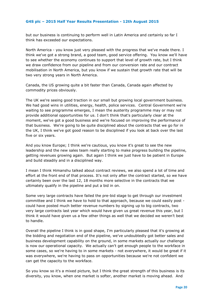but our business is continuing to perform well in Latin America and certainly so far I think has exceeded our expectations.

North America - you know just very pleased with the progress that we've made there. I think we've got a strong brand, a good team, good service offering. You know we'll have to see whether the economy continues to support that level of growth rate, but I think we draw confidence from our pipeline and from our conversion rate and our contract mobilisation in North America, but you know if we sustain that growth rate that will be two very strong years in North America.

Canada, the US growing quite a bit faster than Canada, Canada again affected by commodity prices obviously.

The UK we're seeing good traction in our small but growing local government business. We had good wins in utilities, energy, health, police services. Central Government we're waiting to see programme emerges, I mean the austerity programme may or may not provide additional opportunities for us. I don't think that's particularly clear at the moment, we've got a good business and we're focused on improving the performance of that business. We're going to be quite disciplined about the contracts that we go for in the UK, I think we've got good reason to be disciplined if you look at back over the last five or six years.

And you know Europe; I think we're cautious, you know it's great to see the new leadership and the new sales team really starting to make progress building the pipeline, getting revenues growing again. But again I think we just have to be patient in Europe and build steadily and in a disciplined way.

I mean I think Himanshu talked about contract reviews, we also spend a lot of time and effort at the front end of that process. It's not only after the contract started, so we have certainly been over the last 12, 18 months more selective in the contracts that we ultimately qualify in the pipeline and put a bid in on.

Some very large contracts have failed the pre-bid stage to get through our investment committee and I think we have to hold to that approach, because we could easily post could have posted much better revenue numbers by signing up to big contracts, two very large contracts last year which would have given us great revenue this year, but I think it would have given us a few other things as well that we decided we weren't best to handle.

Overall the pipeline I think is in good shape, I'm particularly pleased that it's growing at the bidding and negotiation end of the pipeline, we've undoubtedly got better sales and business development capability on the ground, in some markets actually our challenge is now our operational capacity. We actually can't get enough people to the workface in some cases, so we're having to in some markets - not everywhere, it would be great if it was everywhere, we're having to pass on opportunities because we're not confident we can get the capacity to the workface.

So you know so it's a mixed picture, but I think the great strength of this business is its diversity, you know, when one market is softer, another market is moving ahead. And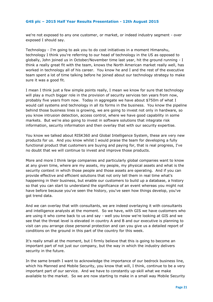we're not exposed to any one customer, or market, or indeed industry segment - over exposed I should say.

Technology - I'm going to ask you to do cost initiatives in a moment Himanshu, technology I think you're referring to our head of technology in the US as opposed to globally, John joined us in October/November time last year, hit the ground running - I think a really great fit with the team, knows the North American market really well, has worked in technology all of his career. You know he and I and the rest of the executive team spent a lot of time talking before he joined about our technology strategy to make sure it was a good fit.

I mean I think just a few simple points really, I mean we know for sure that technology will play a much bigger role in the provision of security services ten years from now, probably five years from now. Today in aggregate we have about \$750m of what I would call systems and technology in all its forms in the business. You know the pipeline behind those business lines is growing, we are going to invest not only in hardware, so you know intrusion detection, access control, where we have good capability in some markets. But we're also going to invest in software solutions that integrate risk information, security information and then overlay that with our security expertise.

You know we talked about RISK360 and Global Intelligence System, these are very new products for us. And you know whilst I would praise the team for developing a fully functional product that customers are buying and paying for, that is real progress, I've no doubt that we will continue to invest and improve those products.

More and more I think large companies and particularly global companies want to know at any given time, where are my assets, my people, my physical assets and what is the security context in which those people and those assets are operating. And if you can provide effective and efficient solutions that not only tell them in real time what's happening in their business, but enable our customers to build up a database, a history so that you can start to understand the significance of an event whereas you might not have before because you've seen the history, you've seen how things develop, you've got trend data.

And we can overlay that with consultants, we are indeed overlaying it with consultants and intelligence analysts at the moment. So we have, with GIS we have customers who are using it who come back to us and say - well you know we're looking at GIS and we see that the threat level is elevated in country A and B and our executive is planning to visit can you arrange close personal protection and can you give us a detailed report of conditions on the ground in this part of the country for this week.

It's really small at the moment, but I firmly believe that this is going to become an important part of not just our company, but the way in which the industry delivers security in the future.

In the same breath I want to acknowledge the importance of our bedrock business line, which his Manned and Mobile Security, you know that will, I think, continue to be a very important part of our service. And we have to constantly up-skill what we make available to the market. So we are now starting to make in a small way Mobile Security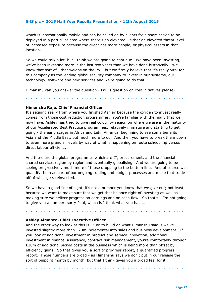which is internationally mobile and can be called on by clients for a short period to be deployed in a particular area where there's an elevated - either an elevated threat level of increased exposure because the client has more people, or physical assets in that location.

So we could talk a lot, but I think we are going to continue. We have been investing; we've been investing more in the last two years than we have done historically. We know that sort of - that weighs on the P&L, but we firmly believe that it's really vital for this company as the leading global security company to invest in our systems, our technology, software and new services and we're going to do that.

Himanshu can you answer the question - Paul's question on cost initiatives please?

. . . . . . . . . . . . . . . . . . . . . . . . . . . . . . . . . . . . . . . . . . . . . . . . . . . . . . . . . . . . . . .

#### **Himanshu Raja, Chief Financial Officer**

It's seguing really from where you finished Ashley because the oxygen to invest really comes from those cost reduction programmes. You're familiar with the many that we now have, Ashley has tried to give real colour by region on where we are in the maturity of our Accelerated Best Practice programmes, relatively immature and starting to get going - the early stages in Africa and Latin America, beginning to see some benefits in Asia and the Middle East, but much more to do. And then you have to break them down to even more granular levels by way of what is happening on route scheduling versus direct labour efficiency.

And there are the global programmes which are IT, procurement, and the financial shared services region by region and eventually globalising. And we are going to be seeing progressively much more of those dropping to the bottom line. And of course we quantify them as part of our ongoing trading and budget processes and make that trade off of what gets reinvested.

So we have a good line of sight, it's not a number you know that we give out; not least because we want to make sure that we get that balance right of investing as well as making sure we deliver progress on earnings and on cash flow. So that's - I'm not going to give you a number, sorry Paul, which is I think what you had …

. . . . . . . . . . . . . . . . . . . . . . . . . . . . . . . . . . . . . . . . . . . . . . . . . . . . . . . . . . . . . . .

#### **Ashley Almanza, Chief Executive Officer**

And the other way to look at this is - just to build on what Himanshu said is we've invested slightly more than £20m incremental into sales and business development. If you look at additional investment in product and service innovation, additional investment in finance, assurance, contract risk management, you're comfortably through £30m of additional picked costs in the business which is being more than offset by efficiency gains. So that gives you a sort of progress report, a quantified progress report. Those numbers are broad - as Himanshu says we don't put in our release the sort of pinpoint month by month, but that I think gives you a broad feel for it.

. . . . . . . . . . . . . . . . . . . . . . . . . . . . . . . . . . . . . . . . . . . . . . . . . . . . . . . . . . . . . . .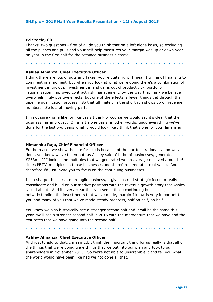#### **Ed Steele, Citi**

Thanks, two questions - first of all do you think that on a left alone basis, so excluding all the pushes and pulls and your self-help measures your margin was up or down year on year in the first half for the retained business please?

. . . . . . . . . . . . . . . . . . . . . . . . . . . . . . . . . . . . . . . . . . . . . . . . . . . . . . . . . . . . . . .

#### **Ashley Almanza, Chief Executive Officer**

I think there are lots of puts and takes, you're quite right, I mean I will ask Himanshu to comment in a moment, but when you look at what we're doing there's a combination of investment in growth, investment in and gains out of productivity, portfolio rationalisation, improved contract risk management, by the way that has - we believe overwhelmingly positive effects, but one of the effects is fewer things get through the pipeline qualification process. So that ultimately in the short run shows up on revenue numbers. So lots of moving parts.

I'm not sure - on a like for like basis I think of course we would say it's clear that the business has improved. On a left alone basis, in other words, undo everything we've done for the last two years what it would look like I think that's one for you Himanshu.

. . . . . . . . . . . . . . . . . . . . . . . . . . . . . . . . . . . . . . . . . . . . . . . . . . . . . . . . . . . . . . .

#### **Himanshu Raja, Chief Financial Officer**

Ed the reason we show the like for like is because of the portfolio rationalisation we've done, you know we've taken out, as Ashley said, £1.1bn of businesses, generated £263m. If I look at the multiples that we generated we on average received around 16 times PBITA multiples on those businesses and therefore generated real value. And therefore I'd just invite you to focus on the continuing businesses.

It's a sharper business, more agile business, it gives us real strategic focus to really consolidate and build on our market positions with the revenue growth story that Ashley talked about. And it's very clear that you see in those continuing businesses, notwithstanding the investments that we've made, margin I know is very important to you and many of you that we've made steady progress, half on half, on half.

You know we also historically see a stronger second half and it will be the same this year, we'll see a stronger second half in 2015 with the momentum that we have and the exit rates that we have going into the second half.

. . . . . . . . . . . . . . . . . . . . . . . . . . . . . . . . . . . . . . . . . . . . . . . . . . . . . . . . . . . . . . .

#### **Ashley Almanza, Chief Executive Officer**

And just to add to that, I mean Ed, I think the important thing for us really is that all of the things that we're doing were things that we put into our plan and took to our shareholders in November 2013. So we're not able to unscramble it and tell you what the world would have been like had we not done all that.

. . . . . . . . . . . . . . . . . . . . . . . . . . . . . . . . . . . . . . . . . . . . . . . . . . . . . . . . . . . . . . .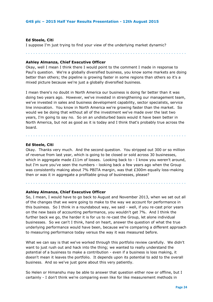#### **Ed Steele, Citi**

I suppose I'm just trying to find your view of the underlying market dynamic?

. . . . . . . . . . . . . . . . . . . . . . . . . . . . . . . . . . . . . . . . . . . . . . . . . . . . . . . . . . . . . . .

#### **Ashley Almanza, Chief Executive Officer**

Okay, well I mean I think there I would point to the comment I made in response to Paul's question. We're a globally diversified business, you know some markets are doing better than others; the pipeline is growing faster in some regions than others so it's a mixed picture because we're just a globally diversified business.

I mean there's no doubt in North America our business is doing far better than it was doing two years ago. However, we've invested in strengthening our management team, we've invested in sales and business development capability, sector specialists, service line innovation. You know in North America we're growing faster than the market. So would we be doing that without all of the investment we've made over the last two years, I'm going to say no. So on an undisturbed basis would it have been better in North America, but not as good as it is today and I think that's probably true across the board.

. . . . . . . . . . . . . . . . . . . . . . . . . . . . . . . . . . . . . . . . . . . . . . . . . . . . . . . . . . . . . . .

#### **Ed Steele, Citi**

Okay. Thanks very much. And the second question. You stripped out 300 or so million of revenue from last year, which is going to be closed or sold across 30 businesses, which in aggregate made  $£11m$  of losses. Looking back to - I know you weren't around, but I'm sure you've seen the numbers - looking back a few years ago when the Group was consistently making about 7% PBITA margin, was that £300m equally loss-making then or was it in aggregate a profitable group of businesses, please?

. . . . . . . . . . . . . . . . . . . . . . . . . . . . . . . . . . . . . . . . . . . . . . . . . . . . . . . . . . . . . . .

#### **Ashley Almanza, Chief Executive Officer**

So, I mean, I would have to go back to August and November 2013, when we set out all of the changes that we were going to make to the way we account for performance in this business. So I think in a roundabout way, we said - well, if you re-cast prior years on the new basis of accounting performance, you wouldn't get 7%. And I think the further back we go, the harder it is for us to re-cast the Group, let alone individual businesses. So we can't I think, hand on heart, answer the question of what the true underlying performance would have been, because we're comparing a different approach to measuring performance today versus the way it was measured before.

What we can say is that we've worked through this portfolio review carefully. We didn't want to just rush out and hack into the thing; we wanted to really understand the potential of a business to make a contribution - even if a business is loss making, it doesn't mean it leaves the portfolio. It depends upon its potential to add to the overall business. And so we've just gone about this very patiently.

So Helen or Himanshu may be able to answer that question either now or offline, but I certainly - I don't think we're comparing even like for like measurement methods in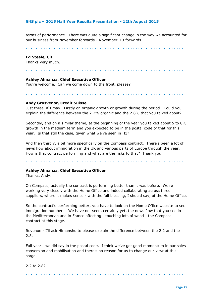terms of performance. There was quite a significant change in the way we accounted for our business from November forwards - November '13 forwards.

. . . . . . . . . . . . . . . . . . . . . . . . . . . . . . . . . . . . . . . . . . . . . . . . . . . . . . . . . . . . . . .

#### **Ed Steele, Citi**

Thanks very much.

#### . . . . . . . . . . . . . . . . . . . . . . . . . . . . . . . . . . . . . . . . . . . . . . . . . . . . . . . . . . . . . . .

#### **Ashley Almanza, Chief Executive Officer**

You're welcome. Can we come down to the front, please?

. . . . . . . . . . . . . . . . . . . . . . . . . . . . . . . . . . . . . . . . . . . . . . . . . . . . . . . . . . . . . . .

#### **Andy Grosvenor, Credit Suisse**

Just three, if I may. Firstly on organic growth or growth during the period. Could you explain the difference between the 2.2% organic and the 2.8% that you talked about?

Secondly, and on a similar theme, at the beginning of the year you talked about 5 to 8% growth in the medium term and you expected to be in the postal code of that for this year. Is that still the case, given what we've seen in H1?

And then thirdly, a bit more specifically on the Compass contract. There's been a lot of news flow about immigration in the UK and various parts of Europe through the year. How is that contract performing and what are the risks to that? Thank you.

. . . . . . . . . . . . . . . . . . . . . . . . . . . . . . . . . . . . . . . . . . . . . . . . . . . . . . . . . . . . . . .

#### **Ashley Almanza, Chief Executive Officer**

Thanks, Andy.

On Compass, actually the contract is performing better than it was before. We're working very closely with the Home Office and indeed collaborating across three suppliers, where it makes sense - with the full blessing, I should say, of the Home Office.

So the contract's performing better; you have to look on the Home Office website to see immigration numbers. We have not seen, certainly yet, the news flow that you see in the Mediterranean and in France affecting - touching lots of wood - the Compass contract at this stage.

Revenue - I'll ask Himanshu to please explain the difference between the 2.2 and the 2.8.

Full year - we did say in the postal code. I think we've got good momentum in our sales conversion and mobilisation and there's no reason for us to change our view at this stage.

#### 2.2 to 2.8?

. . . . . . . . . . . . . . . . . . . . . . . . . . . . . . . . . . . . . . . . . . . . . . . . . . . . . . . . . . . . . . .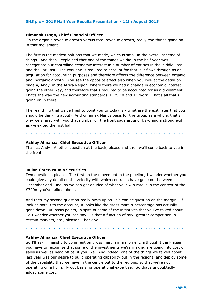#### **Himanshu Raja, Chief Financial Officer**

On the organic revenue growth versus total revenue growth, really two things going on in that movement.

The first is the modest bolt ons that we made, which is small in the overall scheme of things. And then I explained that one of the things we did in the half year was renegotiate our controlling economic interest in a number of entities in the Middle East and the Far East. The way one is required to account for that is it flows through as an acquisition for accounting purposes and therefore affects the difference between organic and inorganic growth. You see the opposite effect also when you look at the detail on page 4, Andy, in the Africa Region, where there we had a change in economic interest going the other way, and therefore that's required to be accounted for as a divestment. That's the way the new accounting standards, IFRS 10 and 11 work. That's all that's going on in there.

The real thing that we've tried to point you to today is - what are the exit rates that you should be thinking about? And on an ex Manus basis for the Group as a whole, that's why we shared with you that number on the front page around 4.2% and a strong exit as we exited the first half.

. . . . . . . . . . . . . . . . . . . . . . . . . . . . . . . . . . . . . . . . . . . . . . . . . . . . . . . . . . . . . . .

#### **Ashley Almanza, Chief Executive Officer**

Thanks, Andy. Another question at the back, please and then we'll come back to you in the front.

. . . . . . . . . . . . . . . . . . . . . . . . . . . . . . . . . . . . . . . . . . . . . . . . . . . . . . . . . . . . . . .

#### **Julian Cater, Numis Securities**

Two questions, please. The first on the movement in the pipeline, I wonder whether you could give any detail on the velocity with which contracts have gone out between December and June, so we can get an idea of what your win rate is in the context of the £700m you've talked about.

And then my second question really picks up on Ed's earlier question on the margin. If I look at Note 3 to the account, it looks like the gross margin percentage has actually gone down 100 basis points, in spite of some of the initiatives that you've talked about. So I wonder whether you can say - is that a function of mix, greater competition in certain markets, etc., please? Thank you.

. . . . . . . . . . . . . . . . . . . . . . . . . . . . . . . . . . . . . . . . . . . . . . . . . . . . . . . . . . . . . . .

#### **Ashley Almanza, Chief Executive Officer**

So I'll ask Himanshu to comment on gross margin in a moment, although I think again you have to recognise that some of the investments we're making are going into cost of sales as well as head office, if you like. And indeed, one of the things we talked about last year was our desire to build operating capability out in the regions, and deploy some of the capability that we have in the centre out to the regions, so that we're not operating on a fly in, fly out basis for operational expertise. So that's undoubtedly added some cost.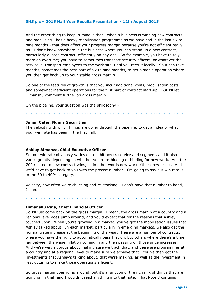And the other thing to keep in mind is that - when a business is winning new contracts and mobilising - has a heavy mobilisation programme as we have had in the last six to nine months - that does affect your progress margin because you're not efficient really as - I don't know anywhere in the business where you can stand up a new contract, particularly a large contract, efficiently on day one. So for example, you have to rely more on overtime; you have to sometimes transport security officers, or whatever the service is, transport employees to the work site, until you recruit locally. So it can take months, sometimes the best part of six to nine months, to get a stable operation where you then get back up to your stable gross margin.

So one of the features of growth is that you incur additional costs, mobilisation costs, and somewhat inefficient operations for the first part of contract start-up. But I'll let Himanshu comment further on gross margin.

On the pipeline, your question was the philosophy -

#### **Julian Cater, Numis Securities**

The velocity with which things are going through the pipeline, to get an idea of what your win rate has been in the first half.

. . . . . . . . . . . . . . . . . . . . . . . . . . . . . . . . . . . . . . . . . . . . . . . . . . . . . . . . . . . . . . .

#### **Ashley Almanza, Chief Executive Officer**

So, our win rate obviously varies quite a bit across service and segment, and it also varies greatly depending on whether you're re-bidding or bidding for new work. And the 700 related to new contract wins, so in other words new work either grow or get. And we'd have to get back to you with the precise number. I'm going to say our win rate is in the 30 to 40% category.

. . . . . . . . . . . . . . . . . . . . . . . . . . . . . . . . . . . . . . . . . . . . . . . . . . . . . . . . . . . . . . .

Velocity, how often we're churning and re-stocking - I don't have that number to hand, Julian.

. . . . . . . . . . . . . . . . . . . . . . . . . . . . . . . . . . . . . . . . . . . . . . . . . . . . . . . . . . . . . . .

#### **Himanshu Raja, Chief Financial Officer**

So I'll just come back on the gross margin. I mean, the gross margin at a country and a regional level does jump around, and you'd expect that for the reasons that Ashley touched upon. When you're growing in a market, you've got the mobilisation issues that Ashley talked about. In each market, particularly in emerging markets, we also get the normal wage increase at the beginning of the year. There are a number of contracts, where you have the right to automatically pass that on, but others where there's a time lag between the wage inflation coming in and then passing on those price increases. And we're very rigorous about making sure we track that, and there are programmes at a country and at a regional level to make sure we achieve that. You've then got the investments that Ashley's talking about, that we're making, as well as the investment in restructuring to make those operations efficient.

So gross margin does jump around, but it's a function of the rich mix of things that are going on in that, and I wouldn't read anything into that note. That Note 3 contains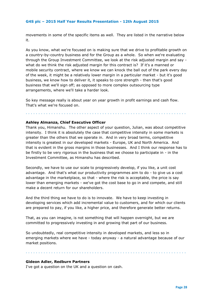movements in some of the specific items as well. They are listed in the narrative below it.

As you know, what we're focused on is making sure that we drive to profitable growth on a country-by-country business and for the Group as a whole. So when we're evaluating through the Group Investment Committee, we look at the risk adjusted margin and say what do we think the risk adjusted margin for this contract is? If it's a manned or mobile security contract, where we know we can knock the ball out of the park every day of the week, it might be a relatively lower margin in a particular market - but it's good business, we know how to deliver it, it speaks to core strength - then that's good business that we'll sign off; as opposed to more complex outsourcing type arrangements, where we'll take a harder look.

So key message really is about year on year growth in profit earnings and cash flow. That's what we're focused on.

. . . . . . . . . . . . . . . . . . . . . . . . . . . . . . . . . . . . . . . . . . . . . . . . . . . . . . . . . . . . . . .

#### **Ashley Almanza, Chief Executive Officer**

Thank you, Himanshu. The other aspect of your question, Julian, was about competitive intensity. I think it is absolutely the case that competitive intensity in some markets is greater than the others that we operate in. And in very broad terms, competitive intensity is greatest in our developed markets - Europe, UK and North America. And that is evident in the gross margins in those businesses. And I think our response has to be firstly to be very rigorous in the business that we choose to participate in - in the Investment Committee, as Himanshu has described.

Secondly, we have to use our scale to progressively develop, if you like, a unit cost advantage. And that's what our productivity programmes aim to do - to give us a cost advantage in the marketplace, so that - where the risk is acceptable, the price is say lower than emerging markets - we've got the cost base to go in and compete, and still make a decent return for our shareholders.

And the third thing we have to do is to innovate. We have to keep investing in developing services which add incremental value to customers, and for which our clients are prepared to pay, if you like, a higher price, and therefore generate better returns.

That, as you can imagine, is not something that will happen overnight, but we are committed to progressively investing in and growing that part of our business.

So undoubtedly, real competitive intensity in developed markets, and less so in emerging markets where we have - today anyway - a natural advantage because of our market positions.

. . . . . . . . . . . . . . . . . . . . . . . . . . . . . . . . . . . . . . . . . . . . . . . . . . . . . . . . . . . . . . .

#### **Gideon Adler, Redburn Partners**

I've got a question on the UK and a question on cash.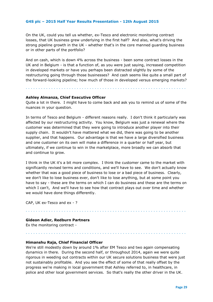On the UK, could you tell us whether, ex-Tesco and electronic monitoring contract losses, that UK business grew underlying in the first half? And also, what's driving the strong pipeline growth in the UK - whether that's in the core manned guarding business or in other parts of the portfolio?

And on cash, which is down 4% across the business - been some contract losses in the UK and in Belgium - is that a function of, as you were just saying, increased competition in developed markets or have you perhaps been distracted slightly by some of the restructuring going through those businesses? And cash seems like quite a small part of the forward-looking pipeline; how much of those in developed versus emerging markets?

#### **Ashley Almanza, Chief Executive Officer**

Quite a lot in there. I might have to come back and ask you to remind us of some of the nuances in your question.

. . . . . . . . . . . . . . . . . . . . . . . . . . . . . . . . . . . . . . . . . . . . . . . . . . . . . . . . . . . . . . .

In terms of Tesco and Belgium - different reasons really. I don't think it particularly was affected by our restructuring activity. You know, Belgium was just a renewal where the customer was determined that they were going to introduce another player into their supply chain. It wouldn't have mattered what we did, there was going to be another supplier, and that happens. Our advantage is that we have a large diversified business and one customer on its own will make a difference in a quarter or half year, but ultimately, if we continue to win in the marketplace, more broadly we can absorb that and continue to grow.

I think in the UK it's a bit more complex. I think the customer came to the market with significantly revised terms and conditions, and we'll have to see. We don't actually know whether that was a good piece of business to lose or a bad piece of business. Clearly, we don't like to lose business ever, don't like to lose anything, but at some point you have to say - these are the terms on which I can do business and these are the terms on which I can't, And we'll have to see how that contract plays out over time and whether we would have done things differently.

. . . . . . . . . . . . . . . . . . . . . . . . . . . . . . . . . . . . . . . . . . . . . . . . . . . . . . . . . . . . . . .

. . . . . . . . . . . . . . . . . . . . . . . . . . . . . . . . . . . . . . . . . . . . . . . . . . . . . . . . . . . . . . .

CAP, UK ex-Tesco and ex - ?

#### **Gideon Adler, Redburn Partners**

Ex the monitoring contract -

#### **Himanshu Raja, Chief Financial Officer**

We're still modestly down by around 1% after EM Tesco and two again compensating dynamics in there. During the second half, or throughout 2014, again we were quite rigorous in weeding out contracts within our UK secure solutions business that were just not sustainably profitable. And you see the effect of some of that really offset by the progress we're making in local government that Ashley referred to, in healthcare, in police and other local government services. So that's really the other driver in the UK.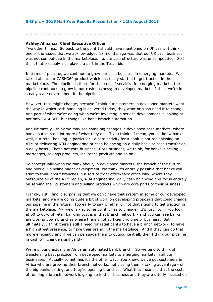#### **Ashley Almanza, Chief Executive Officer**

Two other things. So back to the point I should have mentioned on UK cash. I think one of the issues that we acknowledged 18 months ago was that our UK cash business was not competitive in the marketplace, i.e. our cost structure was uncompetitive. So I think that probably also played a part in the Tesco bid.

. . . . . . . . . . . . . . . . . . . . . . . . . . . . . . . . . . . . . . . . . . . . . . . . . . . . . . . . . . . . . . .

In terms of pipeline, we continue to grow our cash business in emerging markets. We talked about our CASH360 product which has really started to get traction in the marketplace. The pipeline is there for that sort of service. In emerging markets, the pipeline continues to grow in our cash business; in developed markets, I think we're in a steady state environment in the pipeline.

However, that might change, because I think our customers in developed markets want the way in which cash handling is delivered today, they want or slash need it to change. And part of what we're doing when we're investing in service development is looking at not only CASH360, but things like bank branch automation.

And ultimately I think we may see some big changes in developed cash markets, where banks outsource a lot more of what they do. If you think - I mean, you all know banks well, but retail banking in particular - a core activity for a bank is not replenishing an ATM or delivering ATM engineering or cash balancing on a daily basis or cash transfer on a daily basis. That's not core business. Core business, we think, for banks is selling mortgages, savings products, insurance products and so on.

So conceptually when we think about, in developed markets, the branch of the future and how our pipeline might development, we think it's entirely possible that banks will start to think about branches in a sort of front office/back office way, where they outsource all of the ATM replen, ATM engineering, daily cash balancing and focus entirely on serving their customers and selling products which are core parts of their business.

Frankly, I still find it surprising that we don't have that system in some of our developed markets, and we are doing quite a bit of work on developing proposals that could change our pipeline in the future. Too early to say whether or not that's going to get traction in the marketplace. My view is - at some point it has to change. It's just not, if you look at 50 to 60% of retail banking cost is in that branch network - and you can see banks are closing down branches where there's not sufficient volume of business. But ultimately, I think there's still a need for retail banks to have a branch network, to have a high street presence, to have their brand in the marketplace. And if they can do that more efficiently and if we can persuade them to outsource it all, then I think our pipeline in cash will change significantly.

We're piloting actually in Africa an automated bank branch. So we tend to think of transferring best practice from developed markets to emerging markets in all our businesses. Actually sometimes it's the other way. You know, we've got customers in Africa who are growing their branch networks, not closing them - taking advantage - of the big banks exiting, and they're opening branches. What that means is that the costs of running a branch network is going up in their business and they are utterly focused on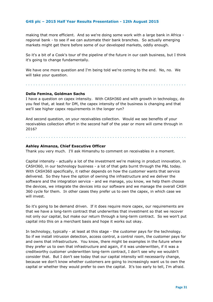making that more efficient. And so we're doing some work with a large bank in Africa regional bank - to see if we can automate their bank branches. So actually emerging markets might get there before some of our developed markets, oddly enough.

So it's a bit of a Cook's tour of the pipeline of the future in our cash business, but I think it's going to change fundamentally.

We have one more question and I'm being told we're coming to the end. No, no. We will take your question.

#### **Della Femina, Goldman Sachs**

I have a question on capex intensity. With CASH360 and with growth in technology, do you feel that, at least for DM, the capex intensity of the business is changing and that we'll see higher capex requirements in the longer run?

. . . . . . . . . . . . . . . . . . . . . . . . . . . . . . . . . . . . . . . . . . . . . . . . . . . . . . . . . . . . . . .

And second question, on your receivables collection. Would we see benefits of your receivables collection effort in the second half of the year or more will come through in 2016?

#### **Ashley Almanza, Chief Executive Officer**

. . . . . . . . . . . . . . . . . . . . . . . . . . . . . . . . . . . . . . . . . . . . . . . . . . . . . . . . . . . . . . .

Thank you very much. I'll ask Himanshu to comment on receivables in a moment.

Capital intensity - actually a lot of the investment we're making in product innovation, in CASH360, in our technology business - a lot of that gets burnt through the P&L today. With CASH360 specifically, it rather depends on how the customer wants that service delivered. So they have the option of owning the infrastructure and we deliver the software and the integration service - and we manage, you know, we help them choose the devices, we integrate the devices into our software and we manage the overall CASH 360 cycle for them. In other cases they prefer us to own the capex, in which case we will invest.

So it's going to be demand driven. If it does require more capex, our requirements are that we have a long-term contract that underwrites that investment so that we recover not only our capital, but make our return through a long-term contract. So we won't put capital into this on a merchant basis and hope it works out okay.

In technology, typically - at least at this stage - the customer pays for the technology. So if we install intrusion detection, access control, a control room, the customer pays for and owns that infrastructure. You know, there might be examples in the future where they prefer us to own that infrastructure and again, if it was underwritten, if it was a creditworthy customer underwritten long-term contract, I don't see why we wouldn't consider that. But I don't see today that our capital intensity will necessarily change, because we don't know whether customers are going to increasingly want us to own the capital or whether they would prefer to own the capital. It's too early to tell, I'm afraid.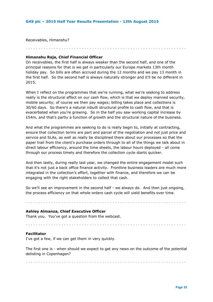Receivables, Himanshu?

. . . . . . . . . . . . . . . . . . . . . . . . . . . . . . . . . . . . . . . . . . . . . . . . . . . . . . . . . . . . . . .

#### **Himanshu Raja, Chief Financial Officer**

On receivables, the first half is always weaker than the second half, and one of the principal reasons for that is we get in particularly our Europe markets 13th month holiday pay. So bills are often accrued during the 12 months and we pay 13 month in the first half. So the second half is always naturally stronger and it'll be no different in 2015.

When I reflect on the programmes that we're running, what we're seeking to address really is the structural effect on our cash flow, which is that we deploy manned security, mobile security; of course we then pay wages; billing takes place and collections is 30/60 days. So there's a natural inbuilt structural profile to cash flow, and that is exacerbated when you're growing. So in the half you saw working capital increase by £54m, and that's partly a function of growth and the structural nature of the business.

And what the programmes are seeking to do is really begin to, initially at contracting, ensure that collection terms are part and parcel of the negotiation and not just price and service and SLAs, as well as really be disciplined there about our processes so that the paper trail from the client's purchase orders through to all of the things we talk about in direct labour efficiency, around the time sheets, the labour hours deployed - all come through our process timely and therefore the collection cycle starts quicker.

And then lastly, during really last year, we changed the entire engagement model such that it's not just a back office finance activity. Frontline business leaders are much more integrated in the collection's effort, together with finance, and therefore we can be engaging with the right stakeholders to collect that cash.

So we'll see an improvement in the second half - we always do. And then just ongoing, the process efficiency on that whole orders cash cycle will yield benefits over time.

. . . . . . . . . . . . . . . . . . . . . . . . . . . . . . . . . . . . . . . . . . . . . . . . . . . . . . . . . . . . . . .

#### **Ashley Almanza, Chief Executive Officer**

Thank you. You've got a question from the webcast.

#### . . . . . . . . . . . . . . . . . . . . . . . . . . . . . . . . . . . . . . . . . . . . . . . . . . . . . . . . . . . . . . .

#### **Facilitator**

I've got a few, if we can get them in very quickly.

The first one is - when should we expect to get any news on the outcome of the potential delisting in Copenhagen?

. . . . . . . . . . . . . . . . . . . . . . . . . . . . . . . . . . . . . . . . . . . . . . . . . . . . . . . . . . . . . . .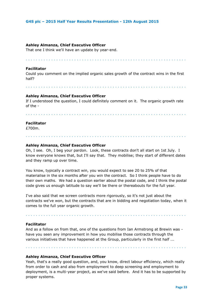#### **Ashley Almanza, Chief Executive Officer**

That one I think we'll have an update by year-end.

### **Facilitator**

Could you comment on the implied organic sales growth of the contract wins in the first half?

. . . . . . . . . . . . . . . . . . . . . . . . . . . . . . . . . . . . . . . . . . . . . . . . . . . . . . . . . . . . . . .

. . . . . . . . . . . . . . . . . . . . . . . . . . . . . . . . . . . . . . . . . . . . . . . . . . . . . . . . . . . . . . .

#### **Ashley Almanza, Chief Executive Officer**

If I understood the question, I could definitely comment on it. The organic growth rate of the -

. . . . . . . . . . . . . . . . . . . . . . . . . . . . . . . . . . . . . . . . . . . . . . . . . . . . . . . . . . . . . . .

#### **Facilitator**

£700m.

## **Ashley Almanza, Chief Executive Officer**

Oh, I see. Oh, I beg your pardon. Look, these contracts don't all start on 1st July. I know everyone knows that, but I'll say that. They mobilise; they start of different dates and they ramp up over time.

. . . . . . . . . . . . . . . . . . . . . . . . . . . . . . . . . . . . . . . . . . . . . . . . . . . . . . . . . . . . . . .

You know, typically a contract win, you would expect to see 20 to 25% of that materialise in the six months after you win the contract. So I think people have to do their own maths. We had a question earlier about the postal code, and I think the postal code gives us enough latitude to say we'll be there or thereabouts for the full year.

I've also said that we screen contracts more rigorously, so it's not just about the contracts we've won, but the contracts that are in bidding and negotiation today, when it comes to the full year organic growth.

#### **Facilitator**

And as a follow on from that, one of the questions from Ian Armstrong at Brewin was have you seen any improvement in how you mobilise those contracts through the various initiatives that have happened at the Group, particularly in the first half ...

. . . . . . . . . . . . . . . . . . . . . . . . . . . . . . . . . . . . . . . . . . . . . . . . . . . . . . . . . . . . . . .

. . . . . . . . . . . . . . . . . . . . . . . . . . . . . . . . . . . . . . . . . . . . . . . . . . . . . . . . . . . . . . .

#### **Ashley Almanza, Chief Executive Officer**

Yeah, that's a really good question, and, you know, direct labour efficiency, which really from order to cash and also from employment to deep screening and employment to deployment, is a multi-year project, as we've said before. And it has to be supported by proper systems.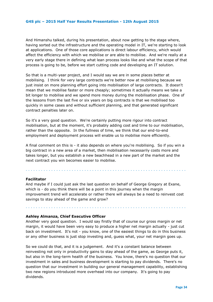And Himanshu talked, during his presentation, about now getting to the stage where, having sorted out the infrastructure and the operating model in IT, we're starting to look at applications. One of those core applications is direct labour efficiency, which would affect the efficiency with which we mobilise or are able to mobilise. And we're really at a very early stage there in defining what lean process looks like and what the scope of that process is going to be, before we start cutting code and developing an IT solution.

So that is a multi-year project, and I would say we are in some places better at mobilising. I think for very large contracts we're better now at mobilising because we just insist on more planning effort going into mobilisation of large contracts. It doesn't mean that we mobilise faster or more cheaply; sometimes it actually means we take a bit longer to mobilise and we spend more money during the mobilisation phase. One of the lessons from the last five or six years on big contracts is that we mobilised too quickly in some cases and without sufficient planning, and that generated significant contract penalties later on.

So it's a very good question. We're certainly putting more rigour into contract mobilisation, but at the moment, it's probably adding cost and time to our mobilisation, rather than the opposite. In the fullness of time, we think that our end-to-end employment and deployment process will enable us to mobilise more efficiently.

A final comment on this is - it also depends on where you're mobilising. So if you win a big contract in a new area of a market, then mobilisation necessarily costs more and takes longer, but you establish a new beachhead in a new part of the market and the next contract you win becomes easier to mobilise.

. . . . . . . . . . . . . . . . . . . . . . . . . . . . . . . . . . . . . . . . . . . . . . . . . . . . . . . . . . . . . . .

#### **Facilitator**

And maybe if I could just ask the last question on behalf of George Gregory at Exane, which is - do you think there will be a point in this journey when the margin improvement trend will accelerate or rather there will always be a need to reinvest cost savings to stay ahead of the game and grow?

. . . . . . . . . . . . . . . . . . . . . . . . . . . . . . . . . . . . . . . . . . . . . . . . . . . . . . . . . . . . . . .

#### **Ashley Almanza, Chief Executive Officer**

Another very good question. I would say firstly that of course our gross margin or net margin, it would have been very easy to produce a higher net margin actually - just cut back on investment. It's not - you know, one of the easiest things to do in this business or any other business is just stop investing and, guess what, your net margin goes up.

So we could do that, and it is a judgement. And it's a constant balance between reinvesting not only in productivity gains to stay ahead of the game, as George puts it, but also in the long-term health of the business. You know, there's no question that our investment in sales and business development is starting to pay dividends. There's no question that our investment in building our general management capability, establishing two new regions introduced more overhead into our company. It's going to pay dividends.